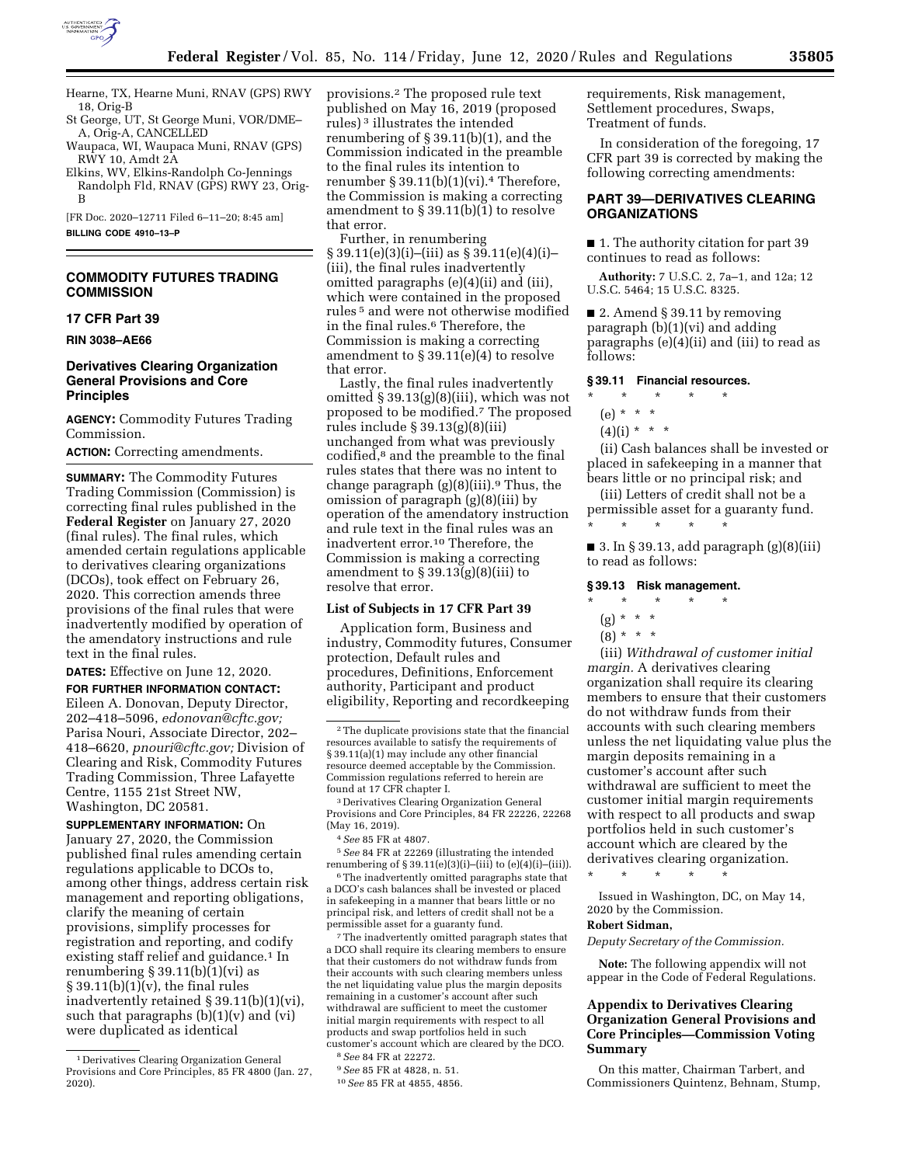

Hearne, TX, Hearne Muni, RNAV (GPS) RWY 18, Orig-B

- St George, UT, St George Muni, VOR/DME– A, Orig-A, CANCELLED
- Waupaca, WI, Waupaca Muni, RNAV (GPS) RWY 10, Amdt 2A
- Elkins, WV, Elkins-Randolph Co-Jennings Randolph Fld, RNAV (GPS) RWY 23, Orig-B

[FR Doc. 2020–12711 Filed 6–11–20; 8:45 am]

**BILLING CODE 4910–13–P** 

## **COMMODITY FUTURES TRADING COMMISSION**

#### **17 CFR Part 39**

**RIN 3038–AE66** 

## **Derivatives Clearing Organization General Provisions and Core Principles**

**AGENCY:** Commodity Futures Trading Commission.

**ACTION:** Correcting amendments.

**SUMMARY:** The Commodity Futures Trading Commission (Commission) is correcting final rules published in the **Federal Register** on January 27, 2020 (final rules). The final rules, which amended certain regulations applicable to derivatives clearing organizations (DCOs), took effect on February 26, 2020. This correction amends three provisions of the final rules that were inadvertently modified by operation of the amendatory instructions and rule text in the final rules.

**DATES:** Effective on June 12, 2020.

**FOR FURTHER INFORMATION CONTACT:**  Eileen A. Donovan, Deputy Director, 202–418–5096, *[edonovan@cftc.gov;](mailto:edonovan@cftc.gov)*  Parisa Nouri, Associate Director, 202– 418–6620, *[pnouri@cftc.gov;](mailto:pnouri@cftc.gov)* Division of Clearing and Risk, Commodity Futures Trading Commission, Three Lafayette Centre, 1155 21st Street NW, Washington, DC 20581.

**SUPPLEMENTARY INFORMATION:** On January 27, 2020, the Commission published final rules amending certain regulations applicable to DCOs to, among other things, address certain risk management and reporting obligations, clarify the meaning of certain provisions, simplify processes for registration and reporting, and codify existing staff relief and guidance.<sup>1</sup> In renumbering  $\S 39.11(b)(1)(vi)$  as  $§ 39.11(b)(1)(v)$ , the final rules inadvertently retained § 39.11(b)(1)(vi), such that paragraphs  $(b)(1)(v)$  and  $(vi)$ were duplicated as identical

provisions.2 The proposed rule text published on May 16, 2019 (proposed rules) 3 illustrates the intended renumbering of § 39.11(b)(1), and the Commission indicated in the preamble to the final rules its intention to renumber  $\S 39.11(b)(1)(vi).4$  Therefore, the Commission is making a correcting amendment to § 39.11(b)(1) to resolve that error.

Further, in renumbering § 39.11(e)(3)(i)–(iii) as § 39.11(e)(4)(i)– (iii), the final rules inadvertently omitted paragraphs (e)(4)(ii) and (iii), which were contained in the proposed rules 5 and were not otherwise modified in the final rules.6 Therefore, the Commission is making a correcting amendment to § 39.11(e)(4) to resolve that error.

Lastly, the final rules inadvertently omitted § 39.13(g)(8)(iii), which was not proposed to be modified.7 The proposed rules include § 39.13(g)(8)(iii) unchanged from what was previously codified,8 and the preamble to the final rules states that there was no intent to change paragraph  $(g)(8)(iii)$ .<sup>9</sup> Thus, the omission of paragraph (g)(8)(iii) by operation of the amendatory instruction and rule text in the final rules was an inadvertent error.10 Therefore, the Commission is making a correcting amendment to  $\S 39.13(g)(8)(iii)$  to resolve that error.

#### **List of Subjects in 17 CFR Part 39**

Application form, Business and industry, Commodity futures, Consumer protection, Default rules and procedures, Definitions, Enforcement authority, Participant and product eligibility, Reporting and recordkeeping

3 Derivatives Clearing Organization General Provisions and Core Principles, 84 FR 22226, 22268 (May 16, 2019).

5*See* 84 FR at 22269 (illustrating the intended renumbering of  $\S 39.11(e)(3)(i)$ –(iii) to (e)(4)(i)–(iii)).

6The inadvertently omitted paragraphs state that a DCO's cash balances shall be invested or placed in safekeeping in a manner that bears little or no principal risk, and letters of credit shall not be a permissible asset for a guaranty fund.

 $\sqrt[7]{ }$  The inadvertently omitted paragraph states that a DCO shall require its clearing members to ensure that their customers do not withdraw funds from their accounts with such clearing members unless the net liquidating value plus the margin deposits remaining in a customer's account after such withdrawal are sufficient to meet the customer initial margin requirements with respect to all products and swap portfolios held in such customer's account which are cleared by the DCO.

8*See* 84 FR at 22272.

requirements, Risk management, Settlement procedures, Swaps, Treatment of funds.

In consideration of the foregoing, 17 CFR part 39 is corrected by making the following correcting amendments:

## **PART 39—DERIVATIVES CLEARING ORGANIZATIONS**

■ 1. The authority citation for part 39 continues to read as follows:

**Authority:** 7 U.S.C. 2, 7a–1, and 12a; 12 U.S.C. 5464; 15 U.S.C. 8325.

■ 2. Amend § 39.11 by removing paragraph (b)(1)(vi) and adding paragraphs (e)(4)(ii) and (iii) to read as follows:

#### **§ 39.11 Financial resources.**

### \* \* \* \* \* (e) \* \* \*

- 
- $(4)(i) * * * *$

(ii) Cash balances shall be invested or placed in safekeeping in a manner that bears little or no principal risk; and

(iii) Letters of credit shall not be a permissible asset for a guaranty fund. \* \* \* \* \*

■ 3. In § 39.13, add paragraph  $(g)(8)(iii)$ to read as follows:

## **§ 39.13 Risk management.**

# \* \* \* \* \*

- (g) \* \* \*
- $(8) * * * *$

(iii) *Withdrawal of customer initial margin.* A derivatives clearing organization shall require its clearing members to ensure that their customers do not withdraw funds from their accounts with such clearing members unless the net liquidating value plus the margin deposits remaining in a customer's account after such withdrawal are sufficient to meet the customer initial margin requirements with respect to all products and swap portfolios held in such customer's account which are cleared by the derivatives clearing organization. \* \* \* \* \*

Issued in Washington, DC, on May 14, 2020 by the Commission.

## **Robert Sidman,**

*Deputy Secretary of the Commission.* 

**Note:** The following appendix will not appear in the Code of Federal Regulations.

## **Appendix to Derivatives Clearing Organization General Provisions and Core Principles—Commission Voting Summary**

On this matter, Chairman Tarbert, and Commissioners Quintenz, Behnam, Stump,

<sup>1</sup> Derivatives Clearing Organization General Provisions and Core Principles, 85 FR 4800 (Jan. 27, 2020).

<sup>2</sup>The duplicate provisions state that the financial resources available to satisfy the requirements of § 39.11(a)(1) may include any other financial resource deemed acceptable by the Commission. Commission regulations referred to herein are found at 17 CFR chapter I.

<sup>4</sup>*See* 85 FR at 4807.

<sup>9</sup>*See* 85 FR at 4828, n. 51.

<sup>10</sup>*See* 85 FR at 4855, 4856.